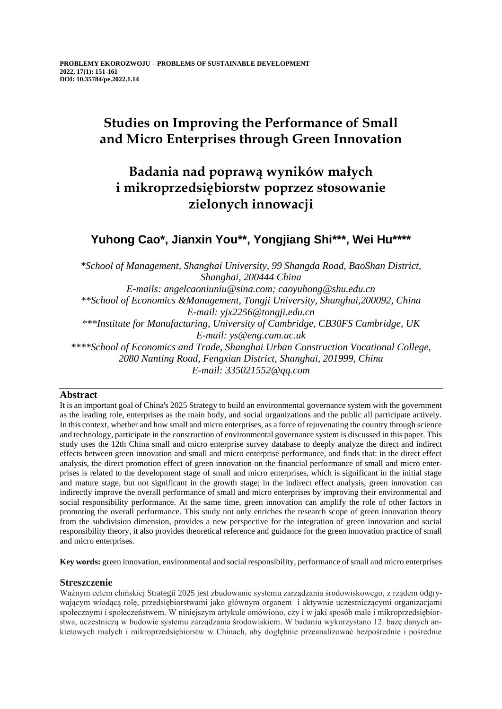# **Studies on Improving the Performance of Small and Micro Enterprises through Green Innovation**

# **Badania nad poprawą wyników małych i mikroprzedsiębiorstw poprzez stosowanie zielonych innowacji**

## **Yuhong Cao\*, Jianxin You\*\*, Yongjiang Shi\*\*\*, Wei Hu\*\*\*\***

*\*School of Management, Shanghai University, 99 Shangda Road, BaoShan District, Shanghai, 200444 China E-mails: angelcaoniuniu@sina.com; caoyuhong@shu.edu.cn \*\*School of Economics &Management, Tongji University, Shanghai,200092, China E-mail: yjx2256@tongji.edu.cn \*\*\*Institute for Manufacturing, University of Cambridge, CB30FS Cambridge, UK E-mail: ys@eng.cam.ac.uk \*\*\*\*School of Economics and Trade, Shanghai Urban Construction Vocational College, 2080 Nanting Road, Fengxian District, Shanghai, 201999, China E-mail: 335021552@qq.com*

## **Abstract**

It is an important goal of China's 2025 Strategy to build an environmental governance system with the government as the leading role, enterprises as the main body, and social organizations and the public all participate actively. In this context, whether and how small and micro enterprises, as a force of rejuvenating the country through science and technology, participate in the construction of environmental governance system is discussed in this paper. This study uses the 12th China small and micro enterprise survey database to deeply analyze the direct and indirect effects between green innovation and small and micro enterprise performance, and finds that: in the direct effect analysis, the direct promotion effect of green innovation on the financial performance of small and micro enterprises is related to the development stage of small and micro enterprises, which is significant in the initial stage and mature stage, but not significant in the growth stage; in the indirect effect analysis, green innovation can indirectly improve the overall performance of small and micro enterprises by improving their environmental and social responsibility performance. At the same time, green innovation can amplify the role of other factors in promoting the overall performance. This study not only enriches the research scope of green innovation theory from the subdivision dimension, provides a new perspective for the integration of green innovation and social responsibility theory, it also provides theoretical reference and guidance for the green innovation practice of small and micro enterprises.

**Key words:** green innovation, environmental and social responsibility, performance of small and micro enterprises

## **Streszczenie**

Ważnym celem chińskiej Strategii 2025 jest zbudowanie systemu zarządzania środowiskowego, z rządem odgrywającym wiodącą rolę, przedsiębiorstwami jako głównym organem i aktywnie uczestniczącymi organizacjami społecznymi i społeczeństwem. W niniejszym artykule omówiono, czy i w jaki sposób małe i mikroprzedsiębiorstwa, uczestniczą w budowie systemu zarządzania środowiskiem. W badaniu wykorzystano 12. bazę danych ankietowych małych i mikroprzedsiębiorstw w Chinach, aby dogłębnie przeanalizować bezpośrednie i pośrednie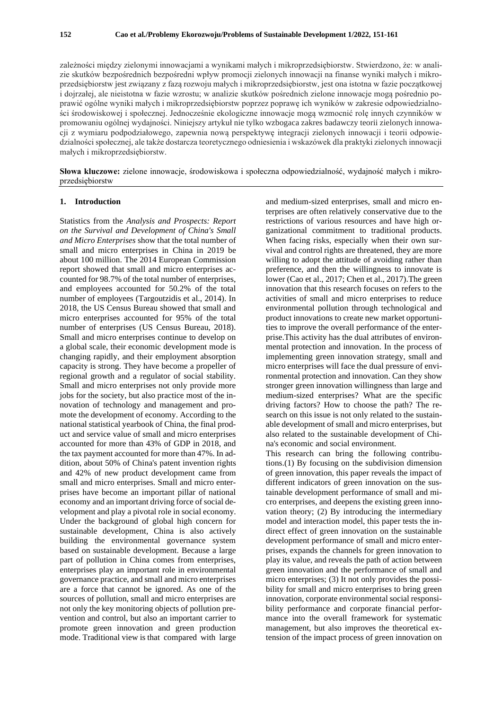zależności między zielonymi innowacjami a wynikami małych i mikroprzedsiębiorstw. Stwierdzono, że: w analizie skutków bezpośrednich bezpośredni wpływ promocji zielonych innowacji na finanse wyniki małych i mikroprzedsiębiorstw jest związany z fazą rozwoju małych i mikroprzedsiębiorstw, jest ona istotna w fazie początkowej i dojrzałej, ale nieistotna w fazie wzrostu; w analizie skutków pośrednich zielone innowacje mogą pośrednio poprawić ogólne wyniki małych i mikroprzedsiębiorstw poprzez poprawę ich wyników w zakresie odpowiedzialności środowiskowej i społecznej. Jednocześnie ekologiczne innowacje mogą wzmocnić rolę innych czynników w promowaniu ogólnej wydajności. Niniejszy artykuł nie tylko wzbogaca zakres badawczy teorii zielonych innowacji z wymiaru podpodziałowego, zapewnia nową perspektywę integracji zielonych innowacji i teorii odpowiedzialności społecznej, ale także dostarcza teoretycznego odniesienia i wskazówek dla praktyki zielonych innowacji małych i mikroprzedsiębiorstw.

**Słowa kluczowe:** zielone innowacje, środowiskowa i społeczna odpowiedzialność, wydajność małych i mikroprzedsiębiorstw

### **1. Introduction**

Statistics from the *Analysis and Prospects: Report on the Survival and Development of China's Small and Micro Enterprises* show that the total number of small and micro enterprises in China in 2019 be about 100 million. The 2014 European Commission report showed that small and micro enterprises accounted for 98.7% of the total number of enterprises, and employees accounted for 50.2% of the total number of employees (Targoutzidis et al., 2014). In 2018, the US Census Bureau showed that small and micro enterprises accounted for 95% of the total number of enterprises (US Census Bureau, 2018). Small and micro enterprises continue to develop on a global scale, their economic development mode is changing rapidly, and their employment absorption capacity is strong. They have become a propeller of regional growth and a regulator of social stability. Small and micro enterprises not only provide more jobs for the society, but also practice most of the innovation of technology and management and promote the development of economy. According to the national statistical yearbook of China, the final product and service value of small and micro enterprises accounted for more than 43% of GDP in 2018, and the tax payment accounted for more than 47%. In addition, about 50% of China's patent invention rights and 42% of new product development came from small and micro enterprises. Small and micro enterprises have become an important pillar of national economy and an important driving force of social development and play a pivotal role in social economy. Under the background of global high concern for sustainable development, China is also actively building the environmental governance system based on sustainable development. Because a large part of pollution in China comes from enterprises, enterprises play an important role in environmental governance practice, and small and micro enterprises are a force that cannot be ignored. As one of the sources of pollution, small and micro enterprises are not only the key monitoring objects of pollution prevention and control, but also an important carrier to promote green innovation and green production mode. Traditional view is that compared with large

and medium-sized enterprises, small and micro enterprises are often relatively conservative due to the restrictions of various resources and have high organizational commitment to traditional products. When facing risks, especially when their own survival and control rights are threatened, they are more willing to adopt the attitude of avoiding rather than preference, and then the willingness to innovate is lower (Cao et al., 2017; Chen et al., 2017).The green innovation that this research focuses on refers to the activities of small and micro enterprises to reduce environmental pollution through technological and product innovations to create new market opportunities to improve the overall performance of the enterprise.This activity has the dual attributes of environmental protection and innovation. In the process of implementing green innovation strategy, small and micro enterprises will face the dual pressure of environmental protection and innovation. Can they show stronger green innovation willingness than large and medium-sized enterprises? What are the specific driving factors? How to choose the path? The research on this issue is not only related to the sustainable development of small and micro enterprises, but also related to the sustainable development of China's economic and social environment.

This research can bring the following contributions.(1) By focusing on the subdivision dimension of green innovation, this paper reveals the impact of different indicators of green innovation on the sustainable development performance of small and micro enterprises, and deepens the existing green innovation theory; (2) By introducing the intermediary model and interaction model, this paper tests the indirect effect of green innovation on the sustainable development performance of small and micro enterprises, expands the channels for green innovation to play its value, and reveals the path of action between green innovation and the performance of small and micro enterprises; (3) It not only provides the possibility for small and micro enterprises to bring green innovation, corporate environmental social responsibility performance and corporate financial performance into the overall framework for systematic management, but also improves the theoretical extension of the impact process of green innovation on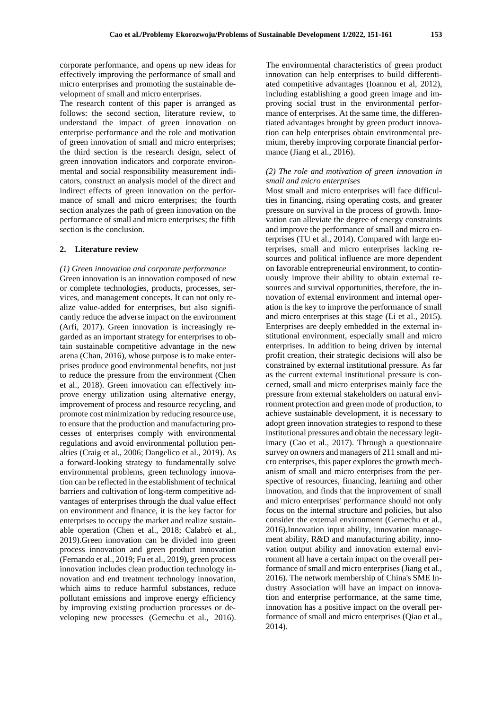corporate performance, and opens up new ideas for effectively improving the performance of small and micro enterprises and promoting the sustainable development of small and micro enterprises.

The research content of this paper is arranged as follows: the second section, literature review, to understand the impact of green innovation on enterprise performance and the role and motivation of green innovation of small and micro enterprises; the third section is the research design, select of green innovation indicators and corporate environmental and social responsibility measurement indicators, construct an analysis model of the direct and indirect effects of green innovation on the performance of small and micro enterprises; the fourth section analyzes the path of green innovation on the performance of small and micro enterprises; the fifth section is the conclusion.

#### **2. Literature review**

#### *(1) Green innovation and corporate performance*

Green innovation is an innovation composed of new or complete technologies, products, processes, services, and management concepts. It can not only realize value-added for enterprises, but also significantly reduce the adverse impact on the environment (Arfi, 2017). Green innovation is increasingly regarded as an important strategy for enterprises to obtain sustainable competitive advantage in the new arena (Chan, 2016), whose purpose is to make enterprises produce good environmental benefits, not just to reduce the pressure from the environment (Chen et al., 2018). Green innovation can effectively improve energy utilization using alternative energy, improvement of process and resource recycling, and promote cost minimization by reducing resource use, to ensure that the production and manufacturing processes of enterprises comply with environmental regulations and avoid environmental pollution penalties (Craig et al., 2006; Dangelico et al., 2019). As a forward-looking strategy to fundamentally solve environmental problems, green technology innovation can be reflected in the establishment of technical barriers and cultivation of long-term competitive advantages of enterprises through the dual value effect on environment and finance, it is the key factor for enterprises to occupy the market and realize sustainable operation (Chen et al., 2018; Calabrò et al., 2019).Green innovation can be divided into green process innovation and green product innovation (Fernando et al., 2019; Fu et al., 2019), green process innovation includes clean production technology innovation and end treatment technology innovation, which aims to reduce harmful substances, reduce pollutant emissions and improve energy efficiency by improving existing production processes or developing new processes (Gemechu et al., 2016).

The environmental characteristics of green product innovation can help enterprises to build differentiated competitive advantages (Ioannou et al, 2012), including establishing a good green image and improving social trust in the environmental performance of enterprises. At the same time, the differentiated advantages brought by green product innovation can help enterprises obtain environmental premium, thereby improving corporate financial performance (Jiang et al., 2016).

#### *(2) The role and motivation of green innovation in small and micro enterprises*

Most small and micro enterprises will face difficulties in financing, rising operating costs, and greater pressure on survival in the process of growth. Innovation can alleviate the degree of energy constraints and improve the performance of small and micro enterprises (TU et al., 2014). Compared with large enterprises, small and micro enterprises lacking resources and political influence are more dependent on favorable entrepreneurial environment, to continuously improve their ability to obtain external resources and survival opportunities, therefore, the innovation of external environment and internal operation is the key to improve the performance of small and micro enterprises at this stage (Li et al., 2015). Enterprises are deeply embedded in the external institutional environment, especially small and micro enterprises. In addition to being driven by internal profit creation, their strategic decisions will also be constrained by external institutional pressure. As far as the current external institutional pressure is concerned, small and micro enterprises mainly face the pressure from external stakeholders on natural environment protection and green mode of production, to achieve sustainable development, it is necessary to adopt green innovation strategies to respond to these institutional pressures and obtain the necessary legitimacy (Cao et al., 2017). Through a questionnaire survey on owners and managers of 211 small and micro enterprises, this paper explores the growth mechanism of small and micro enterprises from the perspective of resources, financing, learning and other innovation, and finds that the improvement of small and micro enterprises' performance should not only focus on the internal structure and policies, but also consider the external environment (Gemechu et al., 2016).Innovation input ability, innovation management ability, R&D and manufacturing ability, innovation output ability and innovation external environment all have a certain impact on the overall performance of small and micro enterprises (Jiang et al., 2016). The network membership of China's SME Industry Association will have an impact on innovation and enterprise performance, at the same time, innovation has a positive impact on the overall performance of small and micro enterprises (Qiao et al., 2014).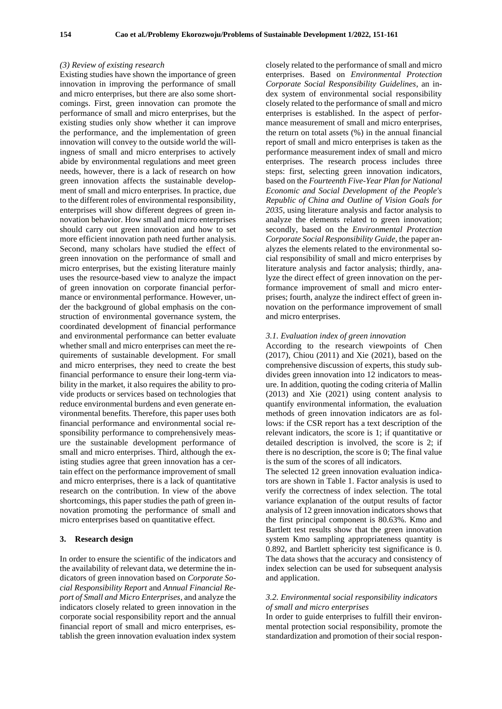#### *(3) Review of existing research*

Existing studies have shown the importance of green innovation in improving the performance of small and micro enterprises, but there are also some shortcomings. First, green innovation can promote the performance of small and micro enterprises, but the existing studies only show whether it can improve the performance, and the implementation of green innovation will convey to the outside world the willingness of small and micro enterprises to actively abide by environmental regulations and meet green needs, however, there is a lack of research on how green innovation affects the sustainable development of small and micro enterprises. In practice, due to the different roles of environmental responsibility, enterprises will show different degrees of green innovation behavior. How small and micro enterprises should carry out green innovation and how to set more efficient innovation path need further analysis. Second, many scholars have studied the effect of green innovation on the performance of small and micro enterprises, but the existing literature mainly uses the resource-based view to analyze the impact of green innovation on corporate financial performance or environmental performance. However, under the background of global emphasis on the construction of environmental governance system, the coordinated development of financial performance and environmental performance can better evaluate whether small and micro enterprises can meet the requirements of sustainable development. For small and micro enterprises, they need to create the best financial performance to ensure their long-term viability in the market, it also requires the ability to provide products or services based on technologies that reduce environmental burdens and even generate environmental benefits. Therefore, this paper uses both financial performance and environmental social responsibility performance to comprehensively measure the sustainable development performance of small and micro enterprises. Third, although the existing studies agree that green innovation has a certain effect on the performance improvement of small and micro enterprises, there is a lack of quantitative research on the contribution. In view of the above shortcomings, this paper studies the path of green innovation promoting the performance of small and micro enterprises based on quantitative effect.

#### **3. Research design**

In order to ensure the scientific of the indicators and the availability of relevant data, we determine the indicators of green innovation based on *Corporate Social Responsibility Report* and *Annual Financial Report of Small and Micro Enterprises*, and analyze the indicators closely related to green innovation in the corporate social responsibility report and the annual financial report of small and micro enterprises, establish the green innovation evaluation index system

closely related to the performance of small and micro enterprises. Based on *Environmental Protection Corporate Social Responsibility Guidelines*, an index system of environmental social responsibility closely related to the performance of small and micro enterprises is established. In the aspect of performance measurement of small and micro enterprises, the return on total assets (%) in the annual financial report of small and micro enterprises is taken as the performance measurement index of small and micro enterprises. The research process includes three steps: first, selecting green innovation indicators, based on the *Fourteenth Five-Year Plan for National Economic and Social Development of the People's Republic of China and Outline of Vision Goals for 2035*, using literature analysis and factor analysis to analyze the elements related to green innovation; secondly, based on the *Environmental Protection Corporate Social Responsibility Guide*, the paper analyzes the elements related to the environmental social responsibility of small and micro enterprises by literature analysis and factor analysis; thirdly, analyze the direct effect of green innovation on the performance improvement of small and micro enterprises; fourth, analyze the indirect effect of green innovation on the performance improvement of small and micro enterprises.

#### *3.1. Evaluation index of green innovation*

According to the research viewpoints of Chen (2017), Chiou (2011) and Xie (2021), based on the comprehensive discussion of experts, this study subdivides green innovation into 12 indicators to measure. In addition, quoting the coding criteria of Mallin (2013) and Xie (2021) using content analysis to quantify environmental information, the evaluation methods of green innovation indicators are as follows: if the CSR report has a text description of the relevant indicators, the score is 1; if quantitative or detailed description is involved, the score is 2; if there is no description, the score is 0; The final value is the sum of the scores of all indicators.

The selected 12 green innovation evaluation indicators are shown in Table 1. Factor analysis is used to verify the correctness of index selection. The total variance explanation of the output results of factor analysis of 12 green innovation indicators shows that the first principal component is 80.63%. Kmo and Bartlett test results show that the green innovation system Kmo sampling appropriateness quantity is 0.892, and Bartlett sphericity test significance is 0. The data shows that the accuracy and consistency of index selection can be used for subsequent analysis and application.

#### *3.2. Environmental social responsibility indicators of small and micro enterprises*

In order to guide enterprises to fulfill their environmental protection social responsibility, promote the standardization and promotion of their social respon-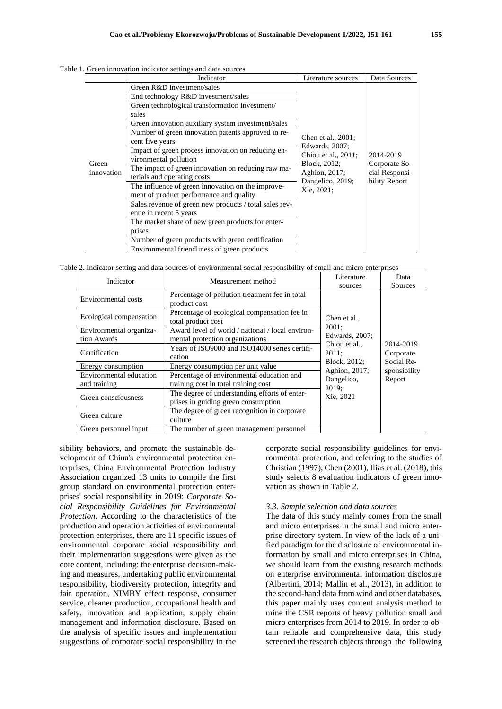|                     | Indicator                                                                                    | Literature sources                                                                                                             | Data Sources                                                  |  |
|---------------------|----------------------------------------------------------------------------------------------|--------------------------------------------------------------------------------------------------------------------------------|---------------------------------------------------------------|--|
| Green<br>innovation | Green R&D investment/sales                                                                   |                                                                                                                                |                                                               |  |
|                     | End technology R&D investment/sales                                                          |                                                                                                                                | 2014-2019<br>Corporate So-<br>cial Responsi-<br>bility Report |  |
|                     | Green technological transformation investment/                                               |                                                                                                                                |                                                               |  |
|                     | sales                                                                                        | Chen et al., 2001;<br>Edwards, 2007;<br>Chiou et al., 2011;<br>Block, 2012;<br>Aghion, 2017;<br>Dangelico, 2019;<br>Xie, 2021; |                                                               |  |
|                     | Green innovation auxiliary system investment/sales                                           |                                                                                                                                |                                                               |  |
|                     | Number of green innovation patents approved in re-<br>cent five years                        |                                                                                                                                |                                                               |  |
|                     | Impact of green process innovation on reducing en-<br>vironmental pollution                  |                                                                                                                                |                                                               |  |
|                     | The impact of green innovation on reducing raw ma-<br>terials and operating costs            |                                                                                                                                |                                                               |  |
|                     | The influence of green innovation on the improve-<br>ment of product performance and quality |                                                                                                                                |                                                               |  |
|                     | Sales revenue of green new products / total sales rev-                                       |                                                                                                                                |                                                               |  |
|                     | enue in recent 5 years                                                                       |                                                                                                                                |                                                               |  |
|                     | The market share of new green products for enter-                                            |                                                                                                                                |                                                               |  |
|                     | prises                                                                                       |                                                                                                                                |                                                               |  |
|                     | Number of green products with green certification                                            |                                                                                                                                |                                                               |  |
|                     | Environmental friendliness of green products                                                 |                                                                                                                                |                                                               |  |

Table 1. Green innovation indicator settings and data sources

Table 2. Indicator setting and data sources of environmental social responsibility of small and micro enterprises

| Indicator               | Measurement method                               | Literature                    | Data                                                           |
|-------------------------|--------------------------------------------------|-------------------------------|----------------------------------------------------------------|
|                         |                                                  | sources                       | Sources                                                        |
| Environmental costs     | Percentage of pollution treatment fee in total   |                               |                                                                |
|                         | product cost                                     |                               |                                                                |
| Ecological compensation | Percentage of ecological compensation fee in     | Chen et al.,                  | 2014-2019<br>Corporate<br>Social Re-<br>sponsibility<br>Report |
|                         | total product cost                               |                               |                                                                |
| Environmental organiza- | Award level of world / national / local environ- | 2001:                         |                                                                |
| tion Awards             | mental protection organizations                  | Edwards, 2007;                |                                                                |
|                         | Years of ISO9000 and ISO14000 series certifi-    | Chiou et al.,<br>2011;        |                                                                |
| Certification           | cation                                           |                               |                                                                |
| Energy consumption      | Energy consumption per unit value                | Block, 2012;<br>Aghion, 2017; |                                                                |
| Environmental education | Percentage of environmental education and        | Dangelico,                    |                                                                |
| and training            | training cost in total training cost             | 2019;                         |                                                                |
|                         | The degree of understanding efforts of enter-    | Xie, 2021                     |                                                                |
| Green consciousness     | prises in guiding green consumption              |                               |                                                                |
|                         | The degree of green recognition in corporate     |                               |                                                                |
| Green culture           | culture                                          |                               |                                                                |
| Green personnel input   | The number of green management personnel         |                               |                                                                |

sibility behaviors, and promote the sustainable development of China's environmental protection enterprises, China Environmental Protection Industry Association organized 13 units to compile the first group standard on environmental protection enterprises' social responsibility in 2019: *Corporate Social Responsibility Guidelines for Environmental Protection*. According to the characteristics of the production and operation activities of environmental protection enterprises, there are 11 specific issues of environmental corporate social responsibility and their implementation suggestions were given as the core content, including: the enterprise decision-making and measures, undertaking public environmental responsibility, biodiversity protection, integrity and fair operation, NIMBY effect response, consumer service, cleaner production, occupational health and safety, innovation and application, supply chain management and information disclosure. Based on the analysis of specific issues and implementation suggestions of corporate social responsibility in the

corporate social responsibility guidelines for environmental protection, and referring to the studies of Christian (1997), Chen (2001), Ilias et al. (2018), this study selects 8 evaluation indicators of green innovation as shown in Table 2.

#### *3.3. Sample selection and data sources*

The data of this study mainly comes from the small and micro enterprises in the small and micro enterprise directory system. In view of the lack of a unified paradigm for the disclosure of environmental information by small and micro enterprises in China, we should learn from the existing research methods on enterprise environmental information disclosure (Albertini, 2014; Mallin et al., 2013), in addition to the second-hand data from wind and other databases, this paper mainly uses content analysis method to mine the CSR reports of heavy pollution small and micro enterprises from 2014 to 2019. In order to obtain reliable and comprehensive data, this study screened the research objects through the following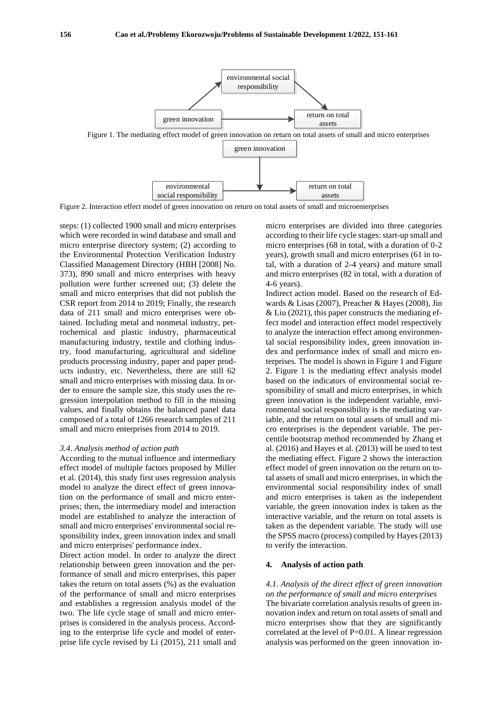

Figure 2. Interaction effect model of green innovation on return on total assets of small and microenterprises

steps: (1) collected 1900 small and micro enterprises which were recorded in wind database and small and micro enterprise directory system; (2) according to the Environmental Protection Verification Industry Classified Management Directory (HBH [2008] No. 373), 890 small and micro enterprises with heavy pollution were further screened out; (3) delete the small and micro enterprises that did not publish the CSR report from 2014 to 2019; Finally, the research data of 211 small and micro enterprises were obtained. Including metal and nonmetal industry, petrochemical and plastic industry, pharmaceutical manufacturing industry, textile and clothing industry, food manufacturing, agricultural and sideline products processing industry, paper and paper products industry, etc. Nevertheless, there are still 62 small and micro enterprises with missing data. In order to ensure the sample size, this study uses the regression interpolation method to fill in the missing values, and finally obtains the balanced panel data composed of a total of 1266 research samples of 211 small and micro enterprises from 2014 to 2019.

#### *3.4. Analysis method of action path*

According to the mutual influence and intermediary effect model of multiple factors proposed by Miller et al. (2014), this study first uses regression analysis model to analyze the direct effect of green innovation on the performance of small and micro enterprises; then, the intermediary model and interaction model are established to analyze the interaction of small and micro enterprises' environmental social responsibility index, green innovation index and small and micro enterprises' performance index.

Direct action model. In order to analyze the direct relationship between green innovation and the performance of small and micro enterprises, this paper takes the return on total assets (%) as the evaluation of the performance of small and micro enterprises and establishes a regression analysis model of the two. The life cycle stage of small and micro enterprises is considered in the analysis process. According to the enterprise life cycle and model of enterprise life cycle revised by Li (2015), 211 small and micro enterprises are divided into three categories according to their life cycle stages: start-up small and micro enterprises (68 in total, with a duration of 0-2 years), growth small and micro enterprises (61 in total, with a duration of 2-4 years) and mature small and micro enterprises (82 in total, with a duration of 4-6 years).

Indirect action model. Based on the research of Edwards & Lisas (2007), Preacher & Hayes (2008), Jin & Liu (2021), this paper constructs the mediating effect model and interaction effect model respectively to analyze the interaction effect among environmental social responsibility index, green innovation index and performance index of small and micro enterprises. The model is shown in Figure 1 and Figure 2. Figure 1 is the mediating effect analysis model based on the indicators of environmental social responsibility of small and micro enterprises, in which green innovation is the independent variable, environmental social responsibility is the mediating variable, and the return on total assets of small and micro enterprises is the dependent variable. The percentile bootstrap method recommended by Zhang et al. (2016) and Hayes et al. (2013) will be used to test the mediating effect. Figure 2 shows the interaction effect model of green innovation on the return on total assets of small and micro enterprises, in which the environmental social responsibility index of small and micro enterprises is taken as the independent variable, the green innovation index is taken as the interactive variable, and the return on total assets is taken as the dependent variable. The study will use the SPSS macro (process) compiled by Hayes (2013) to verify the interaction.

#### **4. Analysis of action path**

*4.1. Analysis of the direct effect of green innovation on the performance of small and micro enterprises* The bivariate correlation analysis results of green innovation index and return on total assets of small and micro enterprises show that they are significantly correlated at the level of  $P=0.01$ . A linear regression analysis was performed on the green innovation in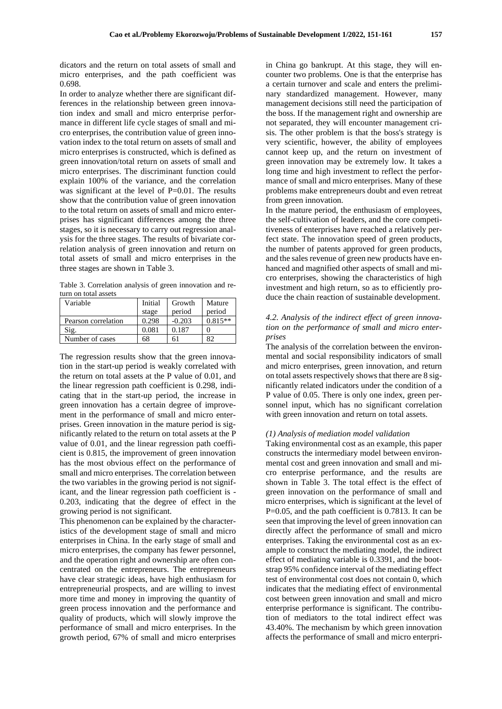dicators and the return on total assets of small and micro enterprises, and the path coefficient was 0.698.

In order to analyze whether there are significant differences in the relationship between green innovation index and small and micro enterprise performance in different life cycle stages of small and micro enterprises, the contribution value of green innovation index to the total return on assets of small and micro enterprises is constructed, which is defined as green innovation/total return on assets of small and micro enterprises. The discriminant function could explain 100% of the variance, and the correlation was significant at the level of  $P=0.01$ . The results show that the contribution value of green innovation to the total return on assets of small and micro enterprises has significant differences among the three stages, so it is necessary to carry out regression analysis for the three stages. The results of bivariate correlation analysis of green innovation and return on total assets of small and micro enterprises in the three stages are shown in Table 3.

Table 3. Correlation analysis of green innovation and return on total assets

| Variable            | Initial | Growth   | Mature    |  |
|---------------------|---------|----------|-----------|--|
|                     | stage   | period   | period    |  |
| Pearson correlation | 0.298   | $-0.203$ | $0.815**$ |  |
| Sig.                | 0.081   | 0.187    |           |  |
| Number of cases     | 68      | 61       |           |  |

The regression results show that the green innovation in the start-up period is weakly correlated with the return on total assets at the P value of 0.01, and the linear regression path coefficient is 0.298, indicating that in the start-up period, the increase in green innovation has a certain degree of improvement in the performance of small and micro enterprises. Green innovation in the mature period is significantly related to the return on total assets at the P value of 0.01, and the linear regression path coefficient is 0.815, the improvement of green innovation has the most obvious effect on the performance of small and micro enterprises. The correlation between the two variables in the growing period is not significant, and the linear regression path coefficient is - 0.203, indicating that the degree of effect in the growing period is not significant.

This phenomenon can be explained by the characteristics of the development stage of small and micro enterprises in China. In the early stage of small and micro enterprises, the company has fewer personnel, and the operation right and ownership are often concentrated on the entrepreneurs. The entrepreneurs have clear strategic ideas, have high enthusiasm for entrepreneurial prospects, and are willing to invest more time and money in improving the quantity of green process innovation and the performance and quality of products, which will slowly improve the performance of small and micro enterprises. In the growth period, 67% of small and micro enterprises

in China go bankrupt. At this stage, they will encounter two problems. One is that the enterprise has a certain turnover and scale and enters the preliminary standardized management. However, many management decisions still need the participation of the boss. If the management right and ownership are not separated, they will encounter management crisis. The other problem is that the boss's strategy is very scientific, however, the ability of employees cannot keep up, and the return on investment of green innovation may be extremely low. It takes a long time and high investment to reflect the performance of small and micro enterprises. Many of these problems make entrepreneurs doubt and even retreat from green innovation.

In the mature period, the enthusiasm of employees, the self-cultivation of leaders, and the core competitiveness of enterprises have reached a relatively perfect state. The innovation speed of green products, the number of patents approved for green products, and the sales revenue of green new products have enhanced and magnified other aspects of small and micro enterprises, showing the characteristics of high investment and high return, so as to efficiently produce the chain reaction of sustainable development.

### *4.2. Analysis of the indirect effect of green innovation on the performance of small and micro enterprises*

The analysis of the correlation between the environmental and social responsibility indicators of small and micro enterprises, green innovation, and return on total assets respectively shows that there are 8 significantly related indicators under the condition of a P value of 0.05. There is only one index, green personnel input, which has no significant correlation with green innovation and return on total assets.

#### *(1) Analysis of mediation model validation*

Taking environmental cost as an example, this paper constructs the intermediary model between environmental cost and green innovation and small and micro enterprise performance, and the results are shown in Table 3. The total effect is the effect of green innovation on the performance of small and micro enterprises, which is significant at the level of P=0.05, and the path coefficient is 0.7813. It can be seen that improving the level of green innovation can directly affect the performance of small and micro enterprises. Taking the environmental cost as an example to construct the mediating model, the indirect effect of mediating variable is 0.3391, and the bootstrap 95% confidence interval of the mediating effect test of environmental cost does not contain 0, which indicates that the mediating effect of environmental cost between green innovation and small and micro enterprise performance is significant. The contribution of mediators to the total indirect effect was 43.40%. The mechanism by which green innovation affects the performance of small and micro enterpri-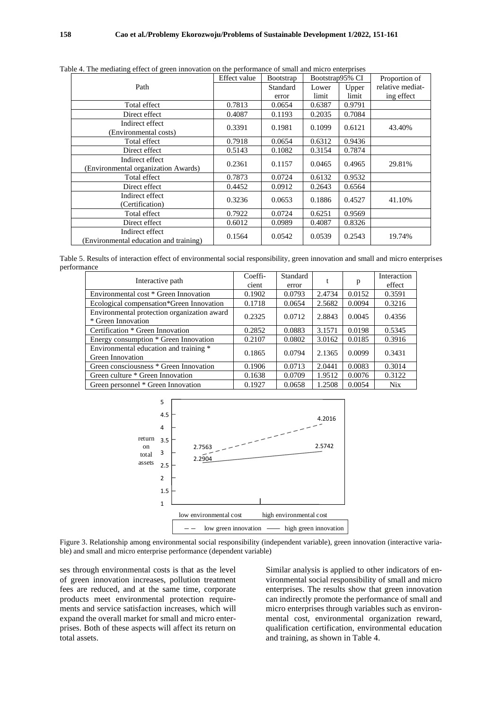| tole 4. The incurating criter of green innovation on the performance of sinal and initio chiefprises |              |                  |                 |        |                  |  |
|------------------------------------------------------------------------------------------------------|--------------|------------------|-----------------|--------|------------------|--|
|                                                                                                      | Effect value | <b>Bootstrap</b> | Bootstrap95% CI |        | Proportion of    |  |
| Path                                                                                                 |              | Standard         | Lower           | Upper  | relative mediat- |  |
|                                                                                                      |              | error            | limit           | limit  | ing effect       |  |
| Total effect                                                                                         | 0.7813       | 0.0654           | 0.6387          | 0.9791 |                  |  |
| Direct effect                                                                                        | 0.4087       | 0.1193           | 0.2035          | 0.7084 |                  |  |
| Indirect effect<br>(Environmental costs)                                                             | 0.3391       | 0.1981           | 0.1099          | 0.6121 | 43.40%           |  |
| Total effect                                                                                         | 0.7918       | 0.0654           | 0.6312          | 0.9436 |                  |  |
| Direct effect                                                                                        | 0.5143       | 0.1082           | 0.3154          | 0.7874 |                  |  |
| Indirect effect<br>(Environmental organization Awards)                                               | 0.2361       | 0.1157           | 0.0465          | 0.4965 | 29.81%           |  |
| Total effect                                                                                         | 0.7873       | 0.0724           | 0.6132          | 0.9532 |                  |  |
| Direct effect                                                                                        | 0.4452       | 0.0912           | 0.2643          | 0.6564 |                  |  |
| Indirect effect<br>(Certification)                                                                   | 0.3236       | 0.0653           | 0.1886          | 0.4527 | 41.10%           |  |
| Total effect                                                                                         | 0.7922       | 0.0724           | 0.6251          | 0.9569 |                  |  |
| Direct effect                                                                                        | 0.6012       | 0.0989           | 0.4087          | 0.8326 |                  |  |
| Indirect effect<br>(Environmental education and training)                                            | 0.1564       | 0.0542           | 0.0539          | 0.2543 | 19.74%           |  |

Table 4. The mediating effect of green innovation on the performance of small and micro enterprises

Table 5. Results of interaction effect of environmental social responsibility, green innovation and small and micro enterprises performance

| Interactive path                                                  | Coeffi-<br>cient | Standard<br>error |        | p      | Interaction<br>effect |
|-------------------------------------------------------------------|------------------|-------------------|--------|--------|-----------------------|
| Environmental cost * Green Innovation                             | 0.1902           | 0.0793            | 2.4734 | 0.0152 | 0.3591                |
| Ecological compensation*Green Innovation                          | 0.1718           | 0.0654            | 2.5682 | 0.0094 | 0.3216                |
| Environmental protection organization award<br>* Green Innovation | 0.2325           | 0.0712            | 2.8843 | 0.0045 | 0.4356                |
| Certification * Green Innovation                                  | 0.2852           | 0.0883            | 3.1571 | 0.0198 | 0.5345                |
| Energy consumption * Green Innovation                             | 0.2107           | 0.0802            | 3.0162 | 0.0185 | 0.3916                |
| Environmental education and training *<br>Green Innovation        | 0.1865           | 0.0794            | 2.1365 | 0.0099 | 0.3431                |
| Green consciousness * Green Innovation                            | 0.1906           | 0.0713            | 2.0441 | 0.0083 | 0.3014                |
| Green culture * Green Innovation                                  | 0.1638           | 0.0709            | 1.9512 | 0.0076 | 0.3122                |
| Green personnel * Green Innovation                                | 0.1927           | 0.0658            | 1.2508 | 0.0054 | Nix                   |



Figure 3. Relationship among environmental social responsibility (independent variable), green innovation (interactive variable) and small and micro enterprise performance (dependent variable)

ses through environmental costs is that as the level of green innovation increases, pollution treatment fees are reduced, and at the same time, corporate products meet environmental protection requirements and service satisfaction increases, which will expand the overall market for small and micro enterprises. Both of these aspects will affect its return on total assets.

Similar analysis is applied to other indicators of environmental social responsibility of small and micro enterprises. The results show that green innovation can indirectly promote the performance of small and micro enterprises through variables such as environmental cost, environmental organization reward, qualification certification, environmental education and training, as shown in Table 4.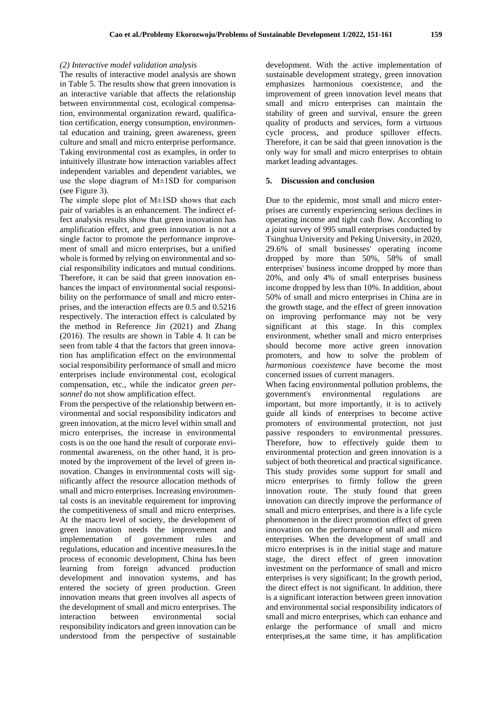#### *(2) Interactive model validation analysis*

The results of interactive model analysis are shown in Table 5. The results show that green innovation is an interactive variable that affects the relationship between environmental cost, ecological compensation, environmental organization reward, qualification certification, energy consumption, environmental education and training, green awareness, green culture and small and micro enterprise performance. Taking environmental cost as examples, in order to intuitively illustrate how interaction variables affect independent variables and dependent variables, we use the slope diagram of  $M<sup>+</sup>$  and  $M<sup>+</sup>$  is the comparison (see Figure 3).

The simple slope plot of M±1SD shows that each pair of variables is an enhancement. The indirect effect analysis results show that green innovation has amplification effect, and green innovation is not a single factor to promote the performance improvement of small and micro enterprises, but a unified whole is formed by relying on environmental and social responsibility indicators and mutual conditions. Therefore, it can be said that green innovation enhances the impact of environmental social responsibility on the performance of small and micro enterprises, and the interaction effects are 0.5 and 0.5216 respectively. The interaction effect is calculated by the method in Reference Jin (2021) and Zhang (2016). The results are shown in Table 4. It can be seen from table 4 that the factors that green innovation has amplification effect on the environmental social responsibility performance of small and micro enterprises include environmental cost, ecological compensation, etc., while the indicator *green personnel* do not show amplification effect.

From the perspective of the relationship between environmental and social responsibility indicators and green innovation, at the micro level within small and micro enterprises, the increase in environmental costs is on the one hand the result of corporate environmental awareness, on the other hand, it is promoted by the improvement of the level of green innovation. Changes in environmental costs will significantly affect the resource allocation methods of small and micro enterprises. Increasing environmental costs is an inevitable requirement for improving the competitiveness of small and micro enterprises. At the macro level of society, the development of green innovation needs the improvement and implementation of government rules and regulations, education and incentive measures.In the process of economic development, China has been learning from foreign advanced production development and innovation systems, and has entered the society of green production. Green innovation means that green involves all aspects of the development of small and micro enterprises. The interaction between environmental social responsibility indicators and green innovation can be understood from the perspective of sustainable

development. With the active implementation of sustainable development strategy, green innovation emphasizes harmonious coexistence, and the improvement of green innovation level means that small and micro enterprises can maintain the stability of green and survival, ensure the green quality of products and services, form a virtuous cycle process, and produce spillover effects. Therefore, it can be said that green innovation is the only way for small and micro enterprises to obtain market leading advantages.

#### **5. Discussion and conclusion**

Due to the epidemic, most small and micro enterprises are currently experiencing serious declines in operating income and tight cash flow. According to a joint survey of 995 small enterprises conducted by Tsinghua University and Peking University, in 2020, 29.6% of small businesses' operating income dropped by more than 50%, 58% of small enterprises' business income dropped by more than 20%, and only 4% of small enterprises business income dropped by less than 10%. In addition, about 50% of small and micro enterprises in China are in the growth stage, and the effect of green innovation on improving performance may not be very significant at this stage. In this complex environment, whether small and micro enterprises should become more active green innovation promoters, and how to solve the problem of *harmonious coexistence* have become the most concerned issues of current managers.

When facing environmental pollution problems, the government's environmental regulations are important, but more importantly, it is to actively guide all kinds of enterprises to become active promoters of environmental protection, not just passive responders to environmental pressures. Therefore, how to effectively guide them to environmental protection and green innovation is a subject of both theoretical and practical significance. This study provides some support for small and micro enterprises to firmly follow the green innovation route. The study found that green innovation can directly improve the performance of small and micro enterprises, and there is a life cycle phenomenon in the direct promotion effect of green innovation on the performance of small and micro enterprises. When the development of small and micro enterprises is in the initial stage and mature stage, the direct effect of green innovation investment on the performance of small and micro enterprises is very significant; In the growth period, the direct effect is not significant. In addition, there is a significant interaction between green innovation and environmental social responsibility indicators of small and micro enterprises, which can enhance and enlarge the performance of small and micro enterprises,at the same time, it has amplification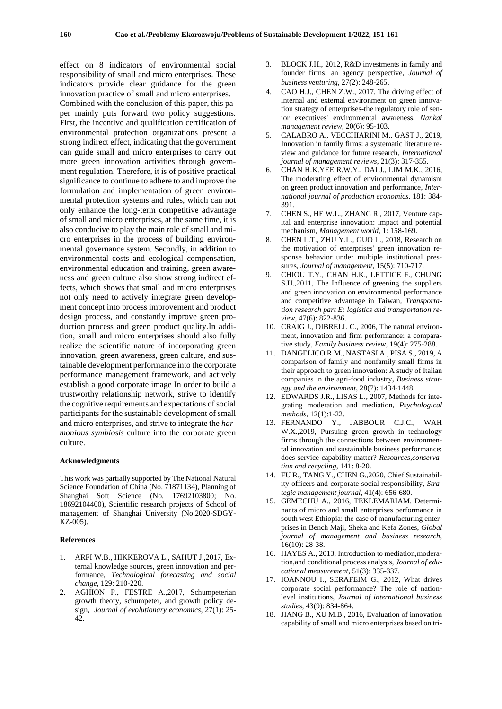effect on 8 indicators of environmental social responsibility of small and micro enterprises. These indicators provide clear guidance for the green innovation practice of small and micro enterprises. Combined with the conclusion of this paper, this paper mainly puts forward two policy suggestions. First, the incentive and qualification certification of environmental protection organizations present a strong indirect effect, indicating that the government can guide small and micro enterprises to carry out more green innovation activities through government regulation. Therefore, it is of positive practical significance to continue to adhere to and improve the formulation and implementation of green environmental protection systems and rules, which can not only enhance the long-term competitive advantage of small and micro enterprises, at the same time, it is also conducive to play the main role of small and micro enterprises in the process of building environmental governance system. Secondly, in addition to environmental costs and ecological compensation, environmental education and training, green awareness and green culture also show strong indirect effects, which shows that small and micro enterprises not only need to actively integrate green development concept into process improvement and product design process, and constantly improve green production process and green product quality.In addition, small and micro enterprises should also fully realize the scientific nature of incorporating green innovation, green awareness, green culture, and sustainable development performance into the corporate performance management framework, and actively establish a good corporate image In order to build a trustworthy relationship network, strive to identify the cognitive requirements and expectations of social participants for the sustainable development of small and micro enterprises, and strive to integrate the *harmonious symbiosis* culture into the corporate green culture.

#### **Acknowledgments**

This work was partially supported by The National Natural Science Foundation of China (No. 71871134), Planning of Shanghai Soft Science (No. 17692103800; No. 18692104400), Scientific research projects of School of management of Shanghai University (No.2020-SDGY-KZ-005).

#### **References**

- 1. ARFI W.B., HIKKEROVA L., SAHUT J.,2017, External knowledge sources, green innovation and performance, *Technological forecasting and social change*, 129: 210-220.
- 2. AGHION P., FESTRÉ A.,2017, Schumpeterian growth theory, schumpeter, and growth policy design, *Journal of evolutionary economics*, 27(1): 25- 42.
- 3. BLOCK J.H., 2012, R&D investments in family and founder firms: an agency perspective, *Journal of business venturing*, 27(2): 248-265.
- 4. CAO H.J., CHEN Z.W., 2017, The driving effect of internal and external environment on green innovation strategy of enterprises-the regulatory role of senior executives' environmental awareness, *Nankai management review*, 20(6): 95-103.
- 5. CALABRO A., VECCHIARINI M., GAST J., 2019, Innovation in family firms: a systematic literature review and guidance for future research, *International journal of management reviews*, 21(3): 317-355.
- 6. CHAN H.K.YEE R.W.Y., DAI J., LIM M.K., 2016, The moderating effect of environmental dynamism on green product innovation and performance, *International journal of production economics*, 181: 384- 391.
- 7. CHEN S., HE W.L., ZHANG R., 2017, Venture capital and enterprise innovation: impact and potential mechanism, *Management world*, 1: 158-169.
- 8. CHEN L.T., ZHU Y.L., GUO L., 2018, Research on the motivation of enterprises' green innovation response behavior under multiple institutional pressures, *Journal of management*, 15(5): 710-717.
- 9. CHIOU T.Y., CHAN H.K., LETTICE F., CHUNG S.H.,2011, The Influence of greening the suppliers and green innovation on environmental performance and competitive advantage in Taiwan, *Transportation research part E: logistics and transportation review*, 47(6): 822-836.
- 10. CRAIG J., DIBRELL C., 2006, The natural environment, innovation and firm performance: a comparative study, *Family business review*, 19(4): 275-288.
- 11. DANGELICO R.M., NASTASI A., PISA S., 2019, A comparison of family and nonfamily small firms in their approach to green innovation: A study of Italian companies in the agri-food industry, *Business strategy and the environment*, 28(7): 1434-1448.
- 12. EDWARDS J.R., LISAS L., 2007, Methods for integrating moderation and mediation, *Psychological methods*, 12(1):1-22.
- 13. FERNANDO Y., JABBOUR C.J.C., WAH W.X.,2019, Pursuing green growth in technology firms through the connections between environmental innovation and sustainable business performance: does service capability matter? *Resources,conservation and recycling*, 141: 8-20.
- 14. FU R., TANG Y., CHEN G.,2020, Chief Sustainability officers and corporate social responsibility, *Strategic management journal*, 41(4): 656-680.
- 15. GEMECHU A., 2016, TEKLEMARIAM. Determinants of micro and small enterprises performance in south west Ethiopia: the case of manufacturing enterprises in Bench Maji, Sheka and Kefa Zones, *Global journal of management and business research*, 16(10): 28-38.
- 16. HAYES A., 2013, Introduction to mediation,moderation,and conditional process analysis, *Journal of educational measurement*, 51(3): 335-337.
- 17. IOANNOU I., SERAFEIM G., 2012, What drives corporate social performance? The role of nationlevel institutions, *Journal of international business studies*, 43(9): 834-864.
- 18. JIANG B., XU M.B., 2016, Evaluation of innovation capability of small and micro enterprises based on tri-